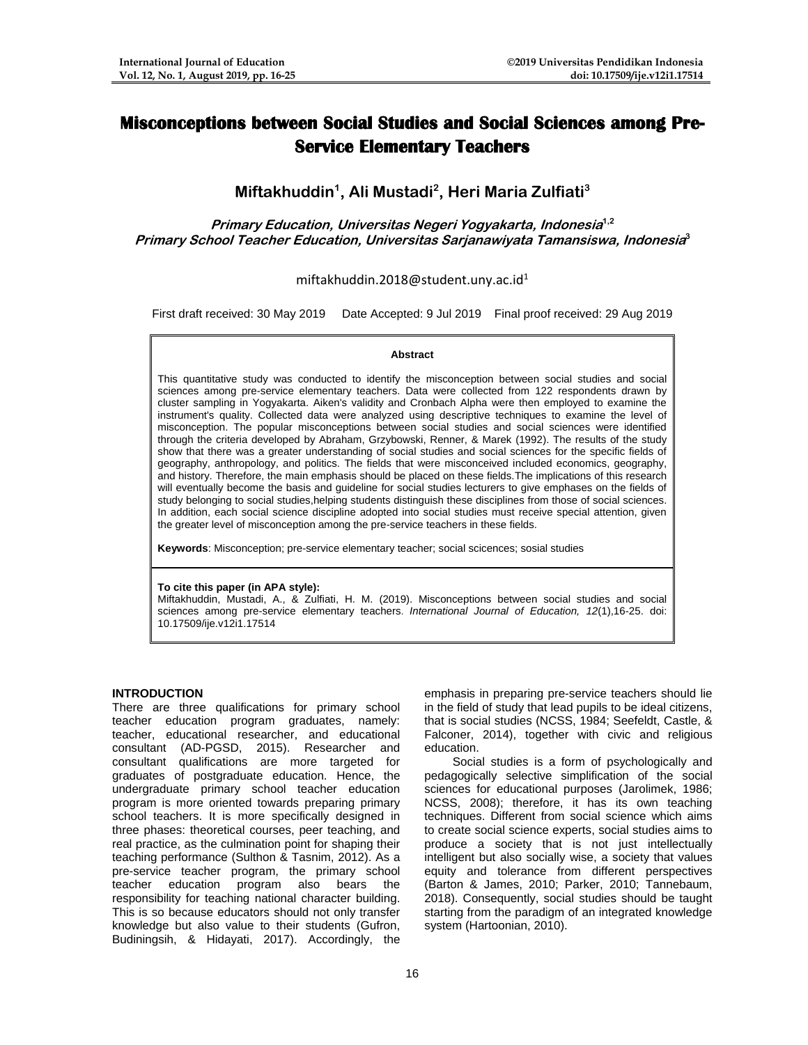# **Misconceptions between Social Studies and Social Sciences among Pre-Service Elementary Teachers**

**Miftakhuddin<sup>1</sup> , Ali Mustadi<sup>2</sup> , Heri Maria Zulfiati<sup>3</sup>**

**Primary Education, Universitas Negeri Yogyakarta, Indonesia 1,2 Primary School Teacher Education, Universitas Sarjanawiyata Tamansiswa, Indonesia 3**

miftakhuddin.2018@student.uny.ac.id<sup>1</sup>

First draft received: 30 May 2019 Date Accepted: 9 Jul 2019 Final proof received: 29 Aug 2019

#### **Abstract**

This quantitative study was conducted to identify the misconception between social studies and social sciences among pre-service elementary teachers. Data were collected from 122 respondents drawn by cluster sampling in Yogyakarta. Aiken's validity and Cronbach Alpha were then employed to examine the instrument's quality. Collected data were analyzed using descriptive techniques to examine the level of misconception. The popular misconceptions between social studies and social sciences were identified through the criteria developed by Abraham, Grzybowski, Renner, & Marek (1992). The results of the study show that there was a greater understanding of social studies and social sciences for the specific fields of geography, anthropology, and politics. The fields that were misconceived included economics, geography, and history. Therefore, the main emphasis should be placed on these fields.The implications of this research will eventually become the basis and guideline for social studies lecturers to give emphases on the fields of study belonging to social studies,helping students distinguish these disciplines from those of social sciences. In addition, each social science discipline adopted into social studies must receive special attention, given the greater level of misconception among the pre-service teachers in these fields.

**Keywords**: Misconception; pre-service elementary teacher; social scicences; sosial studies

#### **To cite this paper (in APA style):**

Miftakhuddin, Mustadi, A., & Zulfiati, H. M. (2019). Misconceptions between social studies and social sciences among pre-service elementary teachers. *International Journal of Education, 12*(1),16-25. doi: 10.17509/ije.v12i1.17514

## **INTRODUCTION**

There are three qualifications for primary school teacher education program graduates, namely: teacher, educational researcher, and educational consultant (AD-PGSD, 2015). Researcher and consultant qualifications are more targeted for graduates of postgraduate education. Hence, the undergraduate primary school teacher education program is more oriented towards preparing primary school teachers. It is more specifically designed in three phases: theoretical courses, peer teaching, and real practice, as the culmination point for shaping their teaching performance (Sulthon & Tasnim, 2012). As a pre-service teacher program, the primary school teacher education program also bears the responsibility for teaching national character building. This is so because educators should not only transfer knowledge but also value to their students (Gufron, Budiningsih, & Hidayati, 2017). Accordingly, the emphasis in preparing pre-service teachers should lie in the field of study that lead pupils to be ideal citizens, that is social studies (NCSS, 1984; Seefeldt, Castle, & Falconer, 2014), together with civic and religious education.

Social studies is a form of psychologically and pedagogically selective simplification of the social sciences for educational purposes (Jarolimek, 1986; NCSS, 2008); therefore, it has its own teaching techniques. Different from social science which aims to create social science experts, social studies aims to produce a society that is not just intellectually intelligent but also socially wise, a society that values equity and tolerance from different perspectives (Barton & James, 2010; Parker, 2010; Tannebaum, 2018). Consequently, social studies should be taught starting from the paradigm of an integrated knowledge system (Hartoonian, 2010).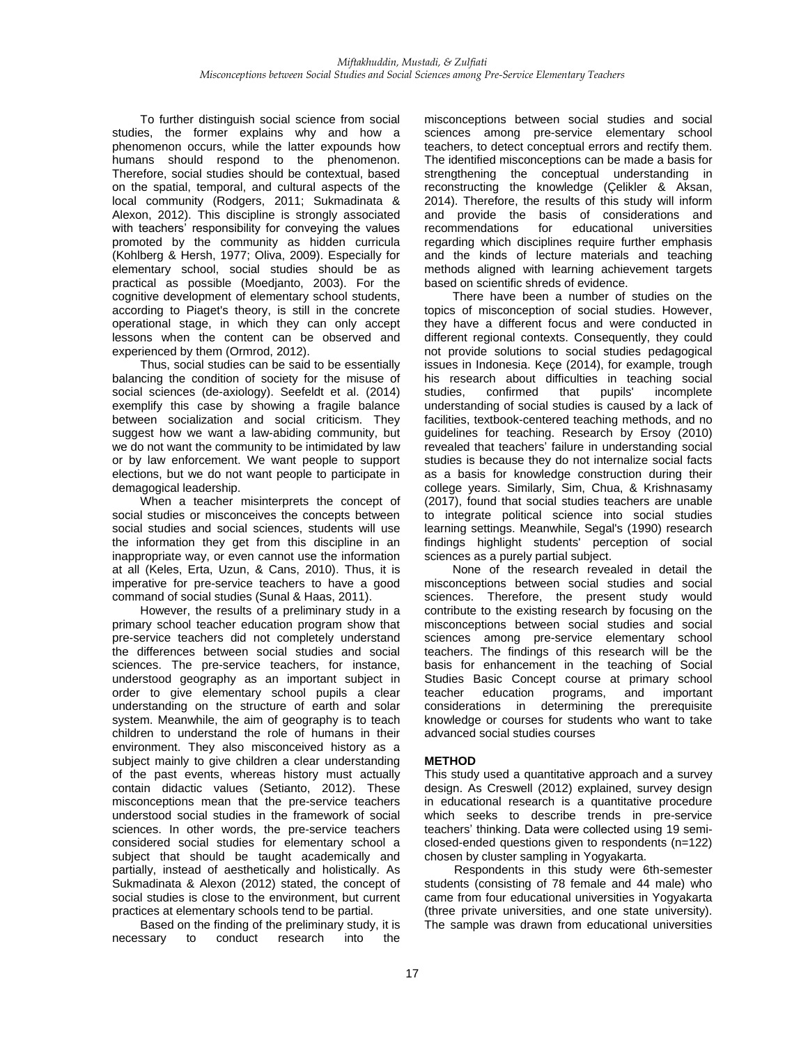To further distinguish social science from social studies, the former explains why and how a phenomenon occurs, while the latter expounds how humans should respond to the phenomenon. Therefore, social studies should be contextual, based on the spatial, temporal, and cultural aspects of the local community (Rodgers, 2011; Sukmadinata & Alexon, 2012). This discipline is strongly associated with teachers' responsibility for conveying the values promoted by the community as hidden curricula (Kohlberg & Hersh, 1977; Oliva, 2009). Especially for elementary school, social studies should be as practical as possible (Moedjanto, 2003). For the cognitive development of elementary school students, according to Piaget's theory, is still in the concrete operational stage, in which they can only accept lessons when the content can be observed and experienced by them (Ormrod, 2012).

Thus, social studies can be said to be essentially balancing the condition of society for the misuse of social sciences (de-axiology). Seefeldt et al. (2014) exemplify this case by showing a fragile balance between socialization and social criticism. They suggest how we want a law-abiding community, but we do not want the community to be intimidated by law or by law enforcement. We want people to support elections, but we do not want people to participate in demagogical leadership.

When a teacher misinterprets the concept of social studies or misconceives the concepts between social studies and social sciences, students will use the information they get from this discipline in an inappropriate way, or even cannot use the information at all (Keles, Erta, Uzun, & Cans, 2010). Thus, it is imperative for pre-service teachers to have a good command of social studies (Sunal & Haas, 2011).

However, the results of a preliminary study in a primary school teacher education program show that pre-service teachers did not completely understand the differences between social studies and social sciences. The pre-service teachers, for instance, understood geography as an important subject in order to give elementary school pupils a clear understanding on the structure of earth and solar system. Meanwhile, the aim of geography is to teach children to understand the role of humans in their environment. They also misconceived history as a subject mainly to give children a clear understanding of the past events, whereas history must actually contain didactic values (Setianto, 2012). These misconceptions mean that the pre-service teachers understood social studies in the framework of social sciences. In other words, the pre-service teachers considered social studies for elementary school a subject that should be taught academically and partially, instead of aesthetically and holistically. As Sukmadinata & Alexon (2012) stated, the concept of social studies is close to the environment, but current practices at elementary schools tend to be partial.

Based on the finding of the preliminary study, it is necessary to conduct research into the

misconceptions between social studies and social sciences among pre-service elementary school teachers, to detect conceptual errors and rectify them. The identified misconceptions can be made a basis for strengthening the conceptual understanding in reconstructing the knowledge (Çelikler & Aksan, 2014). Therefore, the results of this study will inform and provide the basis of considerations and<br>recommendations for educational universities recommendations for educational universities regarding which disciplines require further emphasis and the kinds of lecture materials and teaching methods aligned with learning achievement targets based on scientific shreds of evidence.

There have been a number of studies on the topics of misconception of social studies. However, they have a different focus and were conducted in different regional contexts. Consequently, they could not provide solutions to social studies pedagogical issues in Indonesia. Keçe (2014), for example, trough his research about difficulties in teaching social studies, confirmed that pupils' incomplete incomplete understanding of social studies is caused by a lack of facilities, textbook-centered teaching methods, and no guidelines for teaching. Research by Ersoy (2010) revealed that teachers' failure in understanding social studies is because they do not internalize social facts as a basis for knowledge construction during their college years. Similarly, Sim, Chua, & Krishnasamy (2017), found that social studies teachers are unable to integrate political science into social studies learning settings. Meanwhile, Segal's (1990) research findings highlight students' perception of social sciences as a purely partial subject.

None of the research revealed in detail the misconceptions between social studies and social sciences. Therefore, the present study would contribute to the existing research by focusing on the misconceptions between social studies and social sciences among pre-service elementary school teachers. The findings of this research will be the basis for enhancement in the teaching of Social Studies Basic Concept course at primary school teacher education programs, and important considerations in determining the prerequisite knowledge or courses for students who want to take advanced social studies courses

# **METHOD**

This study used a quantitative approach and a survey design. As Creswell (2012) explained, survey design in educational research is a quantitative procedure which seeks to describe trends in pre-service teachers' thinking. Data were collected using 19 semiclosed-ended questions given to respondents (n=122) chosen by cluster sampling in Yogyakarta.

 Respondents in this study were 6th-semester students (consisting of 78 female and 44 male) who came from four educational universities in Yogyakarta (three private universities, and one state university). The sample was drawn from educational universities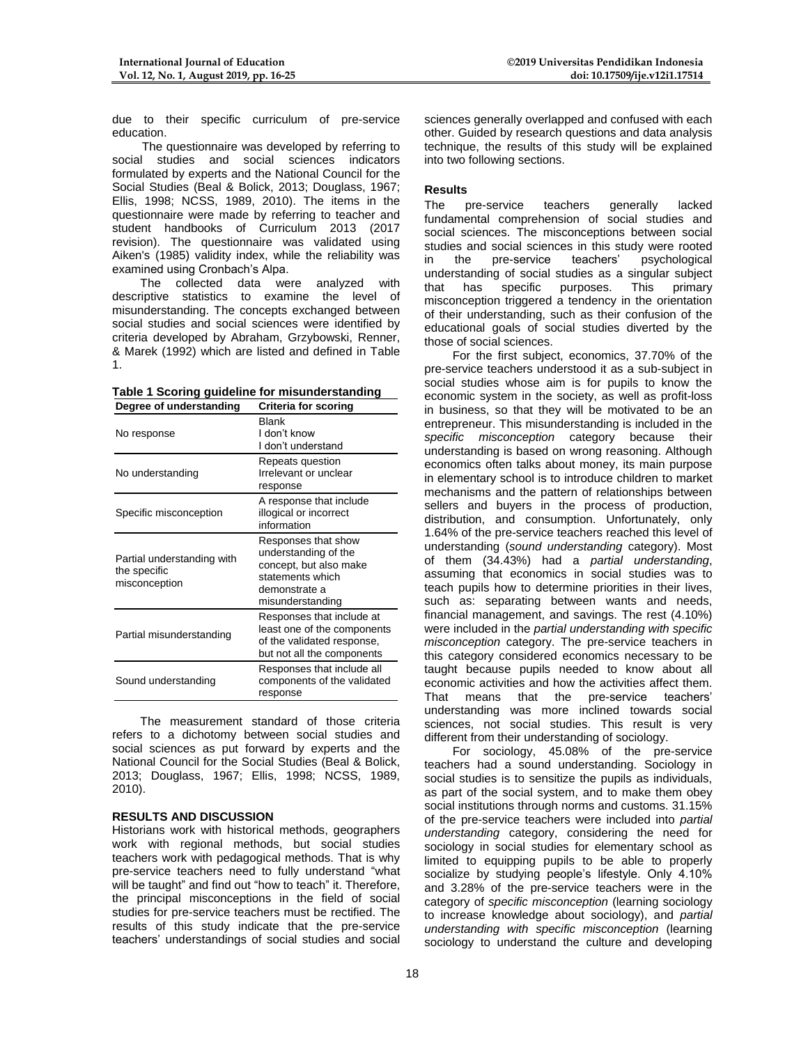due to their specific curriculum of pre-service education.

 The questionnaire was developed by referring to social studies and social sciences indicators formulated by experts and the National Council for the Social Studies (Beal & Bolick, 2013; Douglass, 1967; Ellis, 1998; NCSS, 1989, 2010). The items in the questionnaire were made by referring to teacher and student handbooks of Curriculum 2013 (2017 revision). The questionnaire was validated using Aiken's (1985) validity index, while the reliability was examined using Cronbach's Alpa.

The collected data were analyzed with descriptive statistics to examine the level of misunderstanding. The concepts exchanged between social studies and social sciences were identified by criteria developed by Abraham, Grzybowski, Renner, & Marek (1992) which are listed and defined in Table 1.

|  |  | Table 1 Scoring guideline for misunderstanding                                 |
|--|--|--------------------------------------------------------------------------------|
|  |  | The contract of the district conditions of the Automatic field of a collection |

| <b>Blank</b><br>I don't know<br>I don't understand                                                                             |  |  |  |  |
|--------------------------------------------------------------------------------------------------------------------------------|--|--|--|--|
| Repeats question<br>Irrelevant or unclear<br>response                                                                          |  |  |  |  |
| A response that include<br>illogical or incorrect<br>information                                                               |  |  |  |  |
| Responses that show<br>understanding of the<br>concept, but also make<br>statements which<br>demonstrate a<br>misunderstanding |  |  |  |  |
| Responses that include at<br>least one of the components<br>of the validated response,<br>but not all the components           |  |  |  |  |
| Responses that include all<br>components of the validated<br>response                                                          |  |  |  |  |
|                                                                                                                                |  |  |  |  |

The measurement standard of those criteria refers to a dichotomy between social studies and social sciences as put forward by experts and the National Council for the Social Studies (Beal & Bolick, 2013; Douglass, 1967; Ellis, 1998; NCSS, 1989, 2010).

# **RESULTS AND DISCUSSION**

Historians work with historical methods, geographers work with regional methods, but social studies teachers work with pedagogical methods. That is why pre-service teachers need to fully understand "what will be taught" and find out "how to teach" it. Therefore, the principal misconceptions in the field of social studies for pre-service teachers must be rectified. The results of this study indicate that the pre-service teachers' understandings of social studies and social

sciences generally overlapped and confused with each other. Guided by research questions and data analysis technique, the results of this study will be explained into two following sections.

# **Results**

The pre-service teachers generally lacked fundamental comprehension of social studies and social sciences. The misconceptions between social studies and social sciences in this study were rooted<br>in the pre-service teachers' psychological in the pre-service teachers' psychological understanding of social studies as a singular subject<br>that has specific purposes. This primarv that has specific purposes. This misconception triggered a tendency in the orientation of their understanding, such as their confusion of the educational goals of social studies diverted by the those of social sciences.

For the first subject, economics, 37.70% of the pre-service teachers understood it as a sub-subject in social studies whose aim is for pupils to know the economic system in the society, as well as profit-loss in business, so that they will be motivated to be an entrepreneur. This misunderstanding is included in the *specific misconception* category because their understanding is based on wrong reasoning. Although economics often talks about money, its main purpose in elementary school is to introduce children to market mechanisms and the pattern of relationships between sellers and buyers in the process of production, distribution, and consumption. Unfortunately, only 1.64% of the pre-service teachers reached this level of understanding (*sound understanding* category). Most of them (34.43%) had a *partial understanding*, assuming that economics in social studies was to teach pupils how to determine priorities in their lives, such as: separating between wants and needs, financial management, and savings. The rest (4.10%) were included in the *partial understanding with specific misconception* category. The pre-service teachers in this category considered economics necessary to be taught because pupils needed to know about all economic activities and how the activities affect them. That means that the pre-service teachers' understanding was more inclined towards social sciences, not social studies. This result is very different from their understanding of sociology.

For sociology, 45.08% of the pre-service teachers had a sound understanding. Sociology in social studies is to sensitize the pupils as individuals, as part of the social system, and to make them obey social institutions through norms and customs. 31.15% of the pre-service teachers were included into *partial understanding* category, considering the need for sociology in social studies for elementary school as limited to equipping pupils to be able to properly socialize by studying people's lifestyle. Only 4.10% and 3.28% of the pre-service teachers were in the category of *specific misconception* (learning sociology to increase knowledge about sociology), and *partial understanding with specific misconception* (learning sociology to understand the culture and developing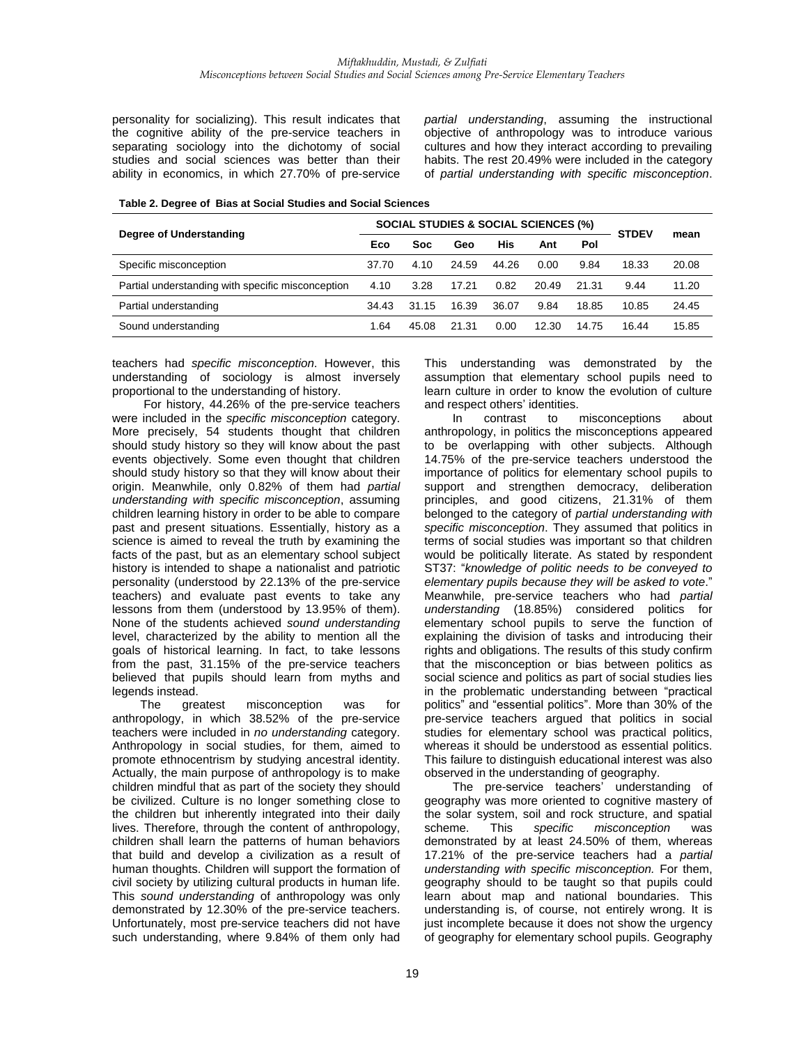personality for socializing). This result indicates that the cognitive ability of the pre-service teachers in separating sociology into the dichotomy of social studies and social sciences was better than their ability in economics, in which 27.70% of pre-service

*partial understanding*, assuming the instructional objective of anthropology was to introduce various cultures and how they interact according to prevailing habits. The rest 20.49% were included in the category of *partial understanding with specific misconception*.

| Table 2. Degree of Bias at Social Studies and Social Sciences |
|---------------------------------------------------------------|
|                                                               |

| Degree of Understanding                           | <b>SOCIAL STUDIES &amp; SOCIAL SCIENCES (%)</b> |            |       |       |       |       | <b>STDEV</b> | mean  |
|---------------------------------------------------|-------------------------------------------------|------------|-------|-------|-------|-------|--------------|-------|
|                                                   |                                                 | <b>Soc</b> | Geo   | His   | Ant   | Pol   |              |       |
| Specific misconception                            |                                                 | 4.10       | 24.59 | 44.26 | 0.00  | 9.84  | 18.33        | 20.08 |
| Partial understanding with specific misconception |                                                 | 3.28       | 17.21 | 0.82  | 20.49 | 21.31 | 9.44         | 11.20 |
| Partial understanding                             |                                                 | 31.15      | 16.39 | 36.07 | 9.84  | 18.85 | 10.85        | 24.45 |
| Sound understanding                               |                                                 | 45.08      | 21.31 | 0.00  | 12.30 | 14.75 | 16.44        | 15.85 |

teachers had *specific misconception*. However, this understanding of sociology is almost inversely proportional to the understanding of history.

For history, 44.26% of the pre-service teachers were included in the *specific misconception* category. More precisely, 54 students thought that children should study history so they will know about the past events objectively. Some even thought that children should study history so that they will know about their origin. Meanwhile, only 0.82% of them had *partial understanding with specific misconception*, assuming children learning history in order to be able to compare past and present situations. Essentially, history as a science is aimed to reveal the truth by examining the facts of the past, but as an elementary school subject history is intended to shape a nationalist and patriotic personality (understood by 22.13% of the pre-service teachers) and evaluate past events to take any lessons from them (understood by 13.95% of them). None of the students achieved *sound understanding* level, characterized by the ability to mention all the goals of historical learning. In fact, to take lessons from the past, 31.15% of the pre-service teachers believed that pupils should learn from myths and legends instead.<br>The ore

greatest misconception was for anthropology, in which 38.52% of the pre-service teachers were included in *no understanding* category. Anthropology in social studies, for them, aimed to promote ethnocentrism by studying ancestral identity. Actually, the main purpose of anthropology is to make children mindful that as part of the society they should be civilized. Culture is no longer something close to the children but inherently integrated into their daily lives. Therefore, through the content of anthropology, children shall learn the patterns of human behaviors that build and develop a civilization as a result of human thoughts. Children will support the formation of civil society by utilizing cultural products in human life. This *sound understanding* of anthropology was only demonstrated by 12.30% of the pre-service teachers. Unfortunately, most pre-service teachers did not have such understanding, where 9.84% of them only had

This understanding was demonstrated by the assumption that elementary school pupils need to learn culture in order to know the evolution of culture and respect others' identities.

In contrast to misconceptions about anthropology, in politics the misconceptions appeared to be overlapping with other subjects. Although 14.75% of the pre-service teachers understood the importance of politics for elementary school pupils to support and strengthen democracy, deliberation principles, and good citizens, 21.31% of them belonged to the category of *partial understanding with specific misconception*. They assumed that politics in terms of social studies was important so that children would be politically literate. As stated by respondent ST37: "*knowledge of politic needs to be conveyed to elementary pupils because they will be asked to vote*." Meanwhile, pre-service teachers who had *partial understanding* (18.85%) considered politics for elementary school pupils to serve the function of explaining the division of tasks and introducing their rights and obligations. The results of this study confirm that the misconception or bias between politics as social science and politics as part of social studies lies in the problematic understanding between "practical politics" and "essential politics". More than 30% of the pre-service teachers argued that politics in social studies for elementary school was practical politics, whereas it should be understood as essential politics. This failure to distinguish educational interest was also observed in the understanding of geography.

The pre-service teachers' understanding of geography was more oriented to cognitive mastery of the solar system, soil and rock structure, and spatial scheme. This *specific misconception* was demonstrated by at least 24.50% of them, whereas 17.21% of the pre-service teachers had a *partial understanding with specific misconception.* For them, geography should to be taught so that pupils could learn about map and national boundaries. This understanding is, of course, not entirely wrong. It is just incomplete because it does not show the urgency of geography for elementary school pupils. Geography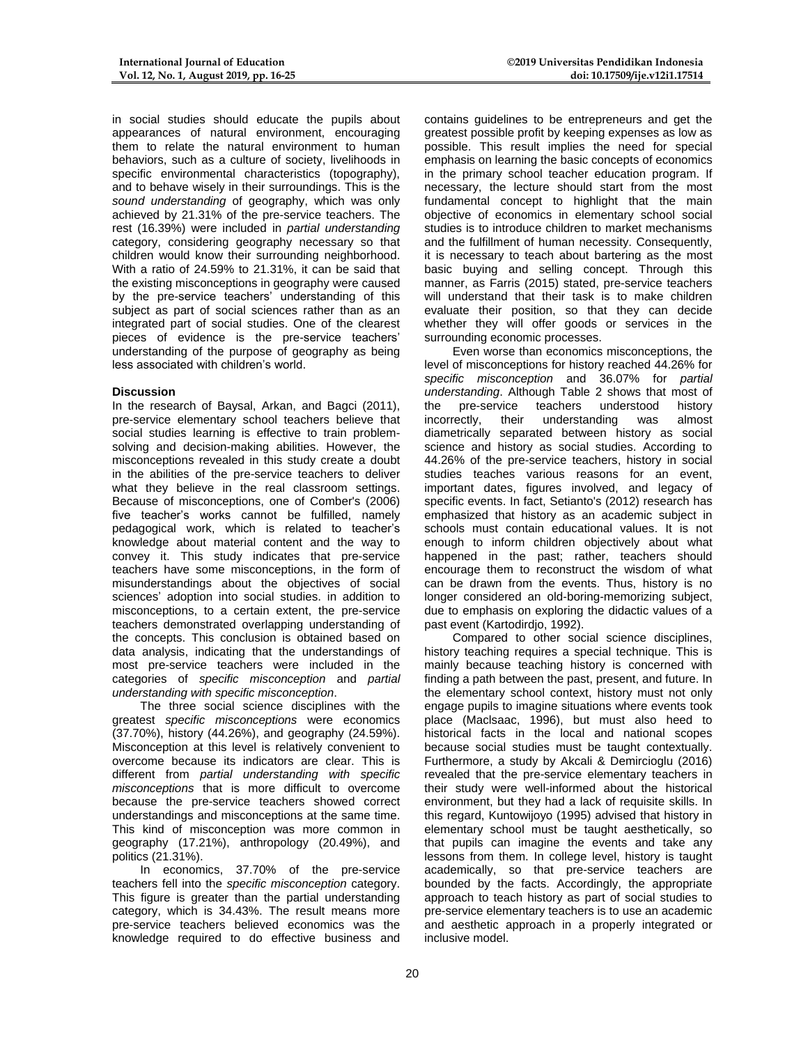in social studies should educate the pupils about appearances of natural environment, encouraging them to relate the natural environment to human behaviors, such as a culture of society, livelihoods in specific environmental characteristics (topography), and to behave wisely in their surroundings. This is the *sound understanding* of geography, which was only achieved by 21.31% of the pre-service teachers. The rest (16.39%) were included in *partial understanding* category, considering geography necessary so that children would know their surrounding neighborhood. With a ratio of 24.59% to 21.31%, it can be said that the existing misconceptions in geography were caused by the pre-service teachers' understanding of this subject as part of social sciences rather than as an integrated part of social studies. One of the clearest pieces of evidence is the pre-service teachers' understanding of the purpose of geography as being less associated with children's world.

### **Discussion**

In the research of Baysal, Arkan, and Bagci (2011), pre-service elementary school teachers believe that social studies learning is effective to train problemsolving and decision-making abilities. However, the misconceptions revealed in this study create a doubt in the abilities of the pre-service teachers to deliver what they believe in the real classroom settings. Because of misconceptions, one of Comber's (2006) five teacher's works cannot be fulfilled, namely pedagogical work, which is related to teacher's knowledge about material content and the way to convey it. This study indicates that pre-service teachers have some misconceptions, in the form of misunderstandings about the objectives of social sciences' adoption into social studies. in addition to misconceptions, to a certain extent, the pre-service teachers demonstrated overlapping understanding of the concepts. This conclusion is obtained based on data analysis, indicating that the understandings of most pre-service teachers were included in the categories of *specific misconception* and *partial understanding with specific misconception*.

The three social science disciplines with the greatest *specific misconceptions* were economics (37.70%), history (44.26%), and geography (24.59%). Misconception at this level is relatively convenient to overcome because its indicators are clear. This is different from *partial understanding with specific misconceptions* that is more difficult to overcome because the pre-service teachers showed correct understandings and misconceptions at the same time. This kind of misconception was more common in geography (17.21%), anthropology (20.49%), and politics (21.31%).

In economics, 37.70% of the pre-service teachers fell into the *specific misconception* category. This figure is greater than the partial understanding category, which is 34.43%. The result means more pre-service teachers believed economics was the knowledge required to do effective business and

contains guidelines to be entrepreneurs and get the greatest possible profit by keeping expenses as low as possible. This result implies the need for special emphasis on learning the basic concepts of economics in the primary school teacher education program. If necessary, the lecture should start from the most fundamental concept to highlight that the main objective of economics in elementary school social studies is to introduce children to market mechanisms and the fulfillment of human necessity. Consequently, it is necessary to teach about bartering as the most basic buying and selling concept. Through this manner, as Farris (2015) stated, pre-service teachers will understand that their task is to make children evaluate their position, so that they can decide whether they will offer goods or services in the surrounding economic processes.

Even worse than economics misconceptions, the level of misconceptions for history reached 44.26% for *specific misconception* and 36.07% for *partial understanding*. Although Table 2 shows that most of the pre-service teachers understood history incorrectly, their understanding was almost diametrically separated between history as social science and history as social studies. According to 44.26% of the pre-service teachers, history in social studies teaches various reasons for an event, important dates, figures involved, and legacy of specific events. In fact, Setianto's (2012) research has emphasized that history as an academic subject in schools must contain educational values. It is not enough to inform children objectively about what happened in the past; rather, teachers should encourage them to reconstruct the wisdom of what can be drawn from the events. Thus, history is no longer considered an old-boring-memorizing subject, due to emphasis on exploring the didactic values of a past event (Kartodirdjo, 1992).

Compared to other social science disciplines, history teaching requires a special technique. This is mainly because teaching history is concerned with finding a path between the past, present, and future. In the elementary school context, history must not only engage pupils to imagine situations where events took place (Maclsaac, 1996), but must also heed to historical facts in the local and national scopes because social studies must be taught contextually. Furthermore, a study by Akcali & Demircioglu (2016) revealed that the pre-service elementary teachers in their study were well-informed about the historical environment, but they had a lack of requisite skills. In this regard, Kuntowijoyo (1995) advised that history in elementary school must be taught aesthetically, so that pupils can imagine the events and take any lessons from them. In college level, history is taught academically, so that pre-service teachers are bounded by the facts. Accordingly, the appropriate approach to teach history as part of social studies to pre-service elementary teachers is to use an academic and aesthetic approach in a properly integrated or inclusive model.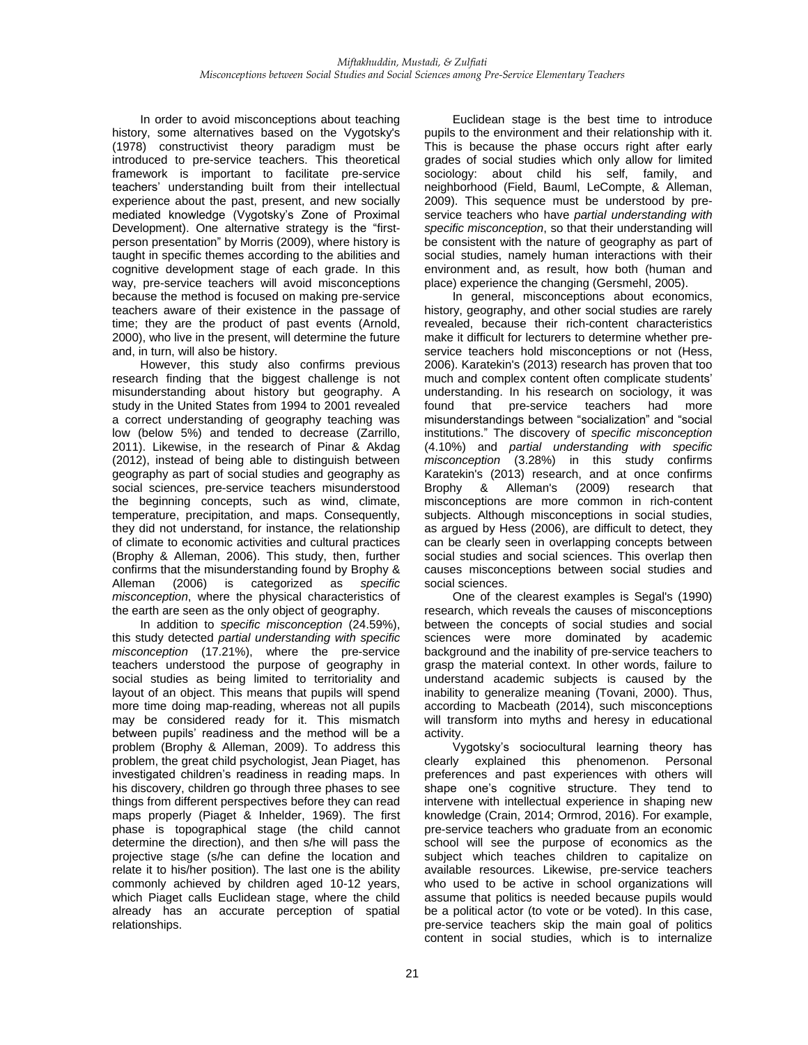In order to avoid misconceptions about teaching history, some alternatives based on the Vygotsky's (1978) constructivist theory paradigm must be introduced to pre-service teachers. This theoretical framework is important to facilitate pre-service teachers' understanding built from their intellectual experience about the past, present, and new socially mediated knowledge (Vygotsky's Zone of Proximal Development). One alternative strategy is the "firstperson presentation" by Morris (2009), where history is taught in specific themes according to the abilities and cognitive development stage of each grade. In this way, pre-service teachers will avoid misconceptions because the method is focused on making pre-service teachers aware of their existence in the passage of time; they are the product of past events (Arnold, 2000), who live in the present, will determine the future and, in turn, will also be history.

However, this study also confirms previous research finding that the biggest challenge is not misunderstanding about history but geography. A study in the United States from 1994 to 2001 revealed a correct understanding of geography teaching was low (below 5%) and tended to decrease (Zarrillo, 2011). Likewise, in the research of Pinar & Akdag (2012), instead of being able to distinguish between geography as part of social studies and geography as social sciences, pre-service teachers misunderstood the beginning concepts, such as wind, climate, temperature, precipitation, and maps. Consequently, they did not understand, for instance, the relationship of climate to economic activities and cultural practices (Brophy & Alleman, 2006). This study, then, further confirms that the misunderstanding found by Brophy & Alleman (2006) is categorized as *specific misconception*, where the physical characteristics of the earth are seen as the only object of geography.

In addition to *specific misconception* (24.59%), this study detected *partial understanding with specific misconception* (17.21%), where the pre-service teachers understood the purpose of geography in social studies as being limited to territoriality and layout of an object. This means that pupils will spend more time doing map-reading, whereas not all pupils may be considered ready for it. This mismatch between pupils' readiness and the method will be a problem (Brophy & Alleman, 2009). To address this problem, the great child psychologist, Jean Piaget, has investigated children's readiness in reading maps. In his discovery, children go through three phases to see things from different perspectives before they can read maps properly (Piaget & Inhelder, 1969). The first phase is topographical stage (the child cannot determine the direction), and then s/he will pass the projective stage (s/he can define the location and relate it to his/her position). The last one is the ability commonly achieved by children aged 10-12 years, which Piaget calls Euclidean stage, where the child already has an accurate perception of spatial relationships.

Euclidean stage is the best time to introduce pupils to the environment and their relationship with it. This is because the phase occurs right after early grades of social studies which only allow for limited sociology: about child his self, family, and neighborhood (Field, Bauml, LeCompte, & Alleman, 2009). This sequence must be understood by preservice teachers who have *partial understanding with specific misconception*, so that their understanding will be consistent with the nature of geography as part of social studies, namely human interactions with their environment and, as result, how both (human and place) experience the changing (Gersmehl, 2005).

In general, misconceptions about economics, history, geography, and other social studies are rarely revealed, because their rich-content characteristics make it difficult for lecturers to determine whether preservice teachers hold misconceptions or not (Hess, 2006). Karatekin's (2013) research has proven that too much and complex content often complicate students' understanding. In his research on sociology, it was found that pre-service teachers had more misunderstandings between "socialization" and "social institutions." The discovery of *specific misconception* (4.10%) and *partial understanding with specific misconception* (3.28%) in this study confirms Karatekin's (2013) research, and at once confirms Brophy & Alleman's (2009) research that misconceptions are more common in rich-content subjects. Although misconceptions in social studies, as argued by Hess (2006), are difficult to detect, they can be clearly seen in overlapping concepts between social studies and social sciences. This overlap then causes misconceptions between social studies and social sciences.

One of the clearest examples is Segal's (1990) research, which reveals the causes of misconceptions between the concepts of social studies and social sciences were more dominated by academic background and the inability of pre-service teachers to grasp the material context. In other words, failure to understand academic subjects is caused by the inability to generalize meaning (Tovani, 2000). Thus, according to Macbeath (2014), such misconceptions will transform into myths and heresy in educational activity.

Vygotsky's sociocultural learning theory has clearly explained this phenomenon. Personal preferences and past experiences with others will shape one's cognitive structure. They tend to intervene with intellectual experience in shaping new knowledge (Crain, 2014; Ormrod, 2016). For example, pre-service teachers who graduate from an economic school will see the purpose of economics as the subject which teaches children to capitalize on available resources. Likewise, pre-service teachers who used to be active in school organizations will assume that politics is needed because pupils would be a political actor (to vote or be voted). In this case, pre-service teachers skip the main goal of politics content in social studies, which is to internalize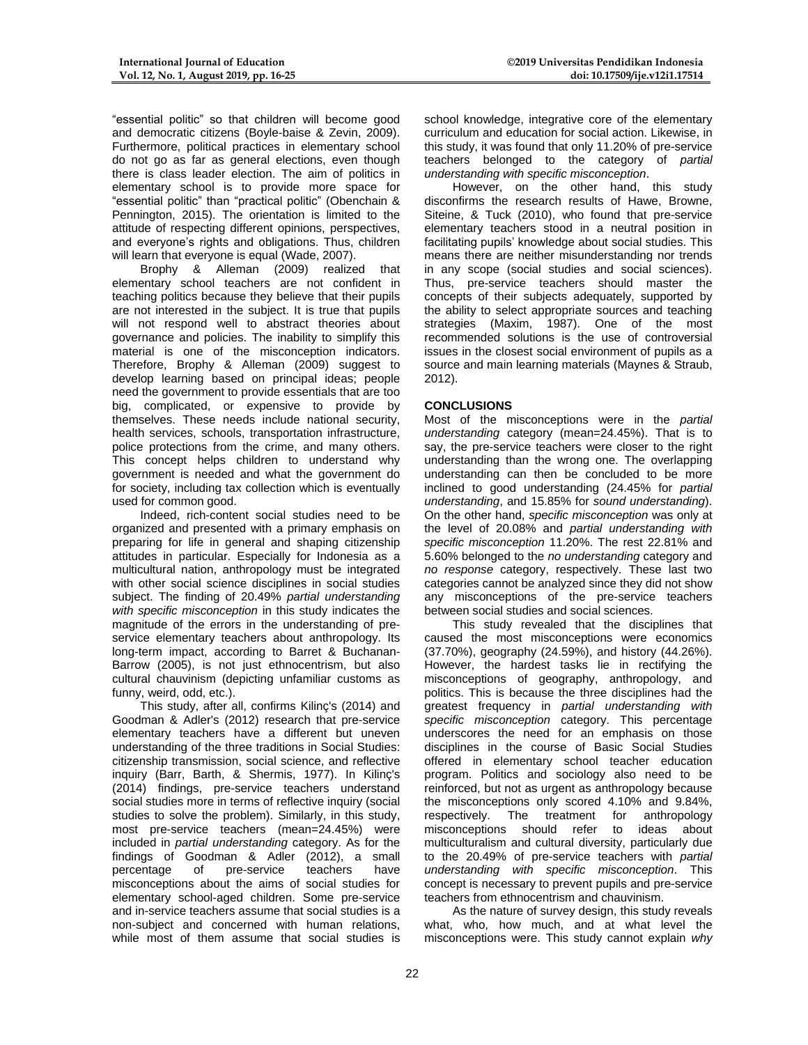"essential politic" so that children will become good and democratic citizens (Boyle-baise & Zevin, 2009). Furthermore, political practices in elementary school do not go as far as general elections, even though there is class leader election. The aim of politics in elementary school is to provide more space for "essential politic" than "practical politic" (Obenchain & Pennington, 2015). The orientation is limited to the attitude of respecting different opinions, perspectives, and everyone's rights and obligations. Thus, children will learn that everyone is equal (Wade, 2007).

Brophy & Alleman (2009) realized that elementary school teachers are not confident in teaching politics because they believe that their pupils are not interested in the subject. It is true that pupils will not respond well to abstract theories about governance and policies. The inability to simplify this material is one of the misconception indicators. Therefore, Brophy & Alleman (2009) suggest to develop learning based on principal ideas; people need the government to provide essentials that are too big, complicated, or expensive to provide by themselves. These needs include national security, health services, schools, transportation infrastructure, police protections from the crime, and many others. This concept helps children to understand why government is needed and what the government do for society, including tax collection which is eventually used for common good.

Indeed, rich-content social studies need to be organized and presented with a primary emphasis on preparing for life in general and shaping citizenship attitudes in particular. Especially for Indonesia as a multicultural nation, anthropology must be integrated with other social science disciplines in social studies subject. The finding of 20.49% *partial understanding with specific misconception* in this study indicates the magnitude of the errors in the understanding of preservice elementary teachers about anthropology. Its long-term impact, according to Barret & Buchanan-Barrow (2005), is not just ethnocentrism, but also cultural chauvinism (depicting unfamiliar customs as funny, weird, odd, etc.).

This study, after all, confirms Kilinç's (2014) and Goodman & Adler's (2012) research that pre-service elementary teachers have a different but uneven understanding of the three traditions in Social Studies: citizenship transmission, social science, and reflective inquiry (Barr, Barth, & Shermis, 1977). In Kilinç's (2014) findings, pre-service teachers understand social studies more in terms of reflective inquiry (social studies to solve the problem). Similarly, in this study, most pre-service teachers (mean=24.45%) were included in *partial understanding* category. As for the findings of Goodman & Adler (2012), a small percentage of pre-service teachers have misconceptions about the aims of social studies for elementary school-aged children. Some pre-service and in-service teachers assume that social studies is a non-subject and concerned with human relations, while most of them assume that social studies is

school knowledge, integrative core of the elementary curriculum and education for social action. Likewise, in this study, it was found that only 11.20% of pre-service teachers belonged to the category of *partial understanding with specific misconception*.

However, on the other hand, this study disconfirms the research results of Hawe, Browne, Siteine, & Tuck (2010), who found that pre-service elementary teachers stood in a neutral position in facilitating pupils' knowledge about social studies. This means there are neither misunderstanding nor trends in any scope (social studies and social sciences). Thus, pre-service teachers should master the concepts of their subjects adequately, supported by the ability to select appropriate sources and teaching strategies (Maxim, 1987). One of the most recommended solutions is the use of controversial issues in the closest social environment of pupils as a source and main learning materials (Maynes & Straub, 2012).

# **CONCLUSIONS**

Most of the misconceptions were in the *partial understanding* category (mean=24.45%). That is to say, the pre-service teachers were closer to the right understanding than the wrong one. The overlapping understanding can then be concluded to be more inclined to good understanding (24.45% for *partial understanding*, and 15.85% for *sound understanding*). On the other hand, *specific misconception* was only at the level of 20.08% and *partial understanding with specific misconception* 11.20%. The rest 22.81% and 5.60% belonged to the *no understanding* category and *no response* category, respectively. These last two categories cannot be analyzed since they did not show any misconceptions of the pre-service teachers between social studies and social sciences.

This study revealed that the disciplines that caused the most misconceptions were economics (37.70%), geography (24.59%), and history (44.26%). However, the hardest tasks lie in rectifying the misconceptions of geography, anthropology, and politics. This is because the three disciplines had the greatest frequency in *partial understanding with specific misconception* category. This percentage underscores the need for an emphasis on those disciplines in the course of Basic Social Studies offered in elementary school teacher education program. Politics and sociology also need to be reinforced, but not as urgent as anthropology because the misconceptions only scored 4.10% and 9.84%, respectively. The treatment for anthropology misconceptions should refer to ideas about multiculturalism and cultural diversity, particularly due to the 20.49% of pre-service teachers with *partial understanding with specific misconception*. This concept is necessary to prevent pupils and pre-service teachers from ethnocentrism and chauvinism.

As the nature of survey design, this study reveals what, who, how much, and at what level the misconceptions were. This study cannot explain *why*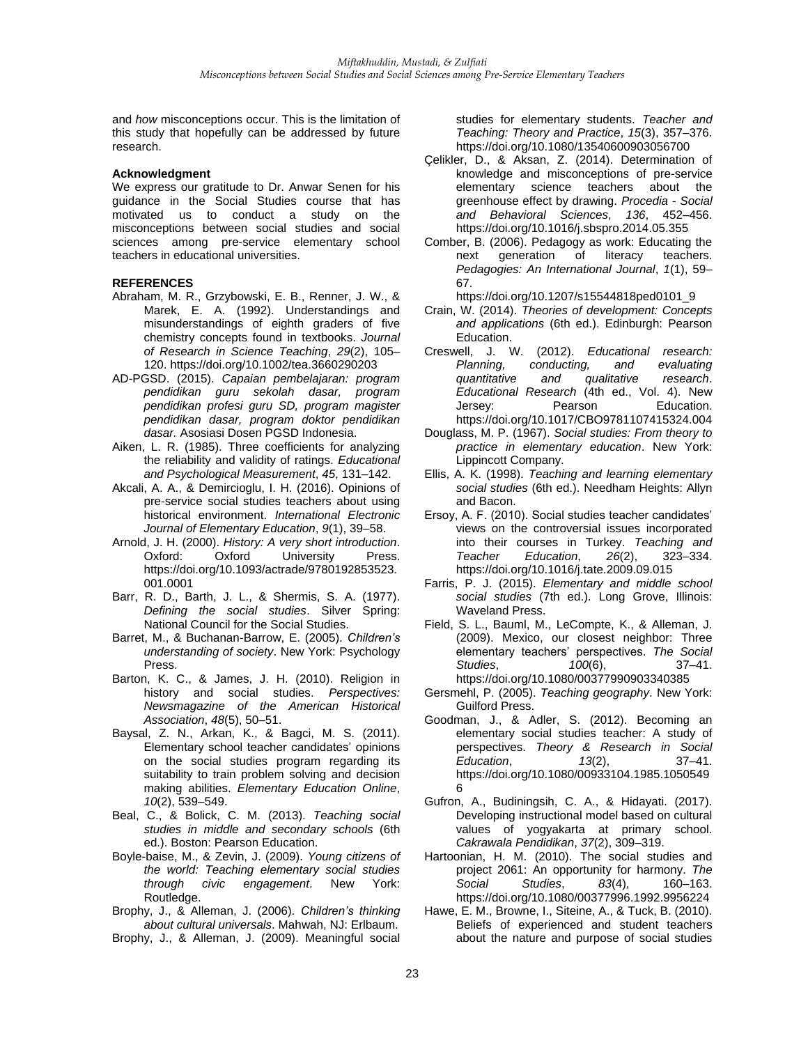and *how* misconceptions occur. This is the limitation of this study that hopefully can be addressed by future research.

## **Acknowledgment**

We express our gratitude to Dr. Anwar Senen for his guidance in the Social Studies course that has motivated us to conduct a study on the misconceptions between social studies and social sciences among pre-service elementary school teachers in educational universities.

# **REFERENCES**

- Abraham, M. R., Grzybowski, E. B., Renner, J. W., & Marek, E. A. (1992). Understandings and misunderstandings of eighth graders of five chemistry concepts found in textbooks. *Journal of Research in Science Teaching*, *29*(2), 105– 120. https://doi.org/10.1002/tea.3660290203
- AD-PGSD. (2015). *Capaian pembelajaran: program pendidikan guru sekolah dasar, program pendidikan profesi guru SD, program magister pendidikan dasar, program doktor pendidikan dasar.* Asosiasi Dosen PGSD Indonesia.
- Aiken, L. R. (1985). Three coefficients for analyzing the reliability and validity of ratings. *Educational and Psychological Measurement*, *45*, 131–142.
- Akcali, A. A., & Demircioglu, I. H. (2016). Opinions of pre-service social studies teachers about using historical environment. *International Electronic Journal of Elementary Education*, *9*(1), 39–58.
- Arnold, J. H. (2000). *History: A very short introduction*. Oxford: Oxford University Press. https://doi.org/10.1093/actrade/9780192853523. 001.0001
- Barr, R. D., Barth, J. L., & Shermis, S. A. (1977). *Defining the social studies*. Silver Spring: National Council for the Social Studies.
- Barret, M., & Buchanan-Barrow, E. (2005). *Children's understanding of society*. New York: Psychology Press.
- Barton, K. C., & James, J. H. (2010). Religion in history and social studies. *Perspectives: Newsmagazine of the American Historical Association*, *48*(5), 50–51.
- Baysal, Z. N., Arkan, K., & Bagci, M. S. (2011). Elementary school teacher candidates' opinions on the social studies program regarding its suitability to train problem solving and decision making abilities. *Elementary Education Online*, *10*(2), 539–549.
- Beal, C., & Bolick, C. M. (2013). *Teaching social studies in middle and secondary schools* (6th ed.). Boston: Pearson Education.
- Boyle-baise, M., & Zevin, J. (2009). *Young citizens of the world: Teaching elementary social studies through civic engagement*. New York: Routledge.
- Brophy, J., & Alleman, J. (2006). *Children's thinking about cultural universals*. Mahwah, NJ: Erlbaum.
- Brophy, J., & Alleman, J. (2009). Meaningful social

studies for elementary students. *Teacher and Teaching: Theory and Practice*, *15*(3), 357–376. https://doi.org/10.1080/13540600903056700

- Çelikler, D., & Aksan, Z. (2014). Determination of knowledge and misconceptions of pre-service elementary science teachers about the greenhouse effect by drawing. *Procedia - Social and Behavioral Sciences*, *136*, 452–456. https://doi.org/10.1016/j.sbspro.2014.05.355
- Comber, B. (2006). Pedagogy as work: Educating the next generation of literacy teachers. *Pedagogies: An International Journal*, *1*(1), 59– 67.

https://doi.org/10.1207/s15544818ped0101\_9

- Crain, W. (2014). *Theories of development: Concepts and applications* (6th ed.). Edinburgh: Pearson Education.
- Creswell, J. W. (2012). *Educational research: Planning, conducting, and evaluating guantitative and Educational Research* (4th ed., Vol. 4). New Jersey: Pearson Education. https://doi.org/10.1017/CBO9781107415324.004
- Douglass, M. P. (1967). *Social studies: From theory to practice in elementary education*. New York: Lippincott Company.
- Ellis, A. K. (1998). *Teaching and learning elementary social studies* (6th ed.). Needham Heights: Allyn and Bacon.
- Ersoy, A. F. (2010). Social studies teacher candidates' views on the controversial issues incorporated into their courses in Turkey. *Teaching and Teacher Education*, *26*(2), 323–334. https://doi.org/10.1016/j.tate.2009.09.015
- Farris, P. J. (2015). *Elementary and middle school social studies* (7th ed.). Long Grove, Illinois: Waveland Press.
- Field, S. L., Bauml, M., LeCompte, K., & Alleman, J. (2009). Mexico, our closest neighbor: Three elementary teachers' perspectives. *The Social Studies*, *100*(6), 37–41. https://doi.org/10.1080/00377990903340385
- Gersmehl, P. (2005). *Teaching geography*. New York: Guilford Press.
- Goodman, J., & Adler, S. (2012). Becoming an elementary social studies teacher: A study of perspectives. *Theory & Research in Social Education*, *13*(2), 37–41. https://doi.org/10.1080/00933104.1985.1050549 6
- Gufron, A., Budiningsih, C. A., & Hidayati. (2017). Developing instructional model based on cultural values of yogyakarta at primary school. *Cakrawala Pendidikan*, *37*(2), 309–319.
- Hartoonian, H. M. (2010). The social studies and project 2061: An opportunity for harmony. *The Social Studies*, *83*(4), 160–163. https://doi.org/10.1080/00377996.1992.9956224
- Hawe, E. M., Browne, I., Siteine, A., & Tuck, B. (2010). Beliefs of experienced and student teachers about the nature and purpose of social studies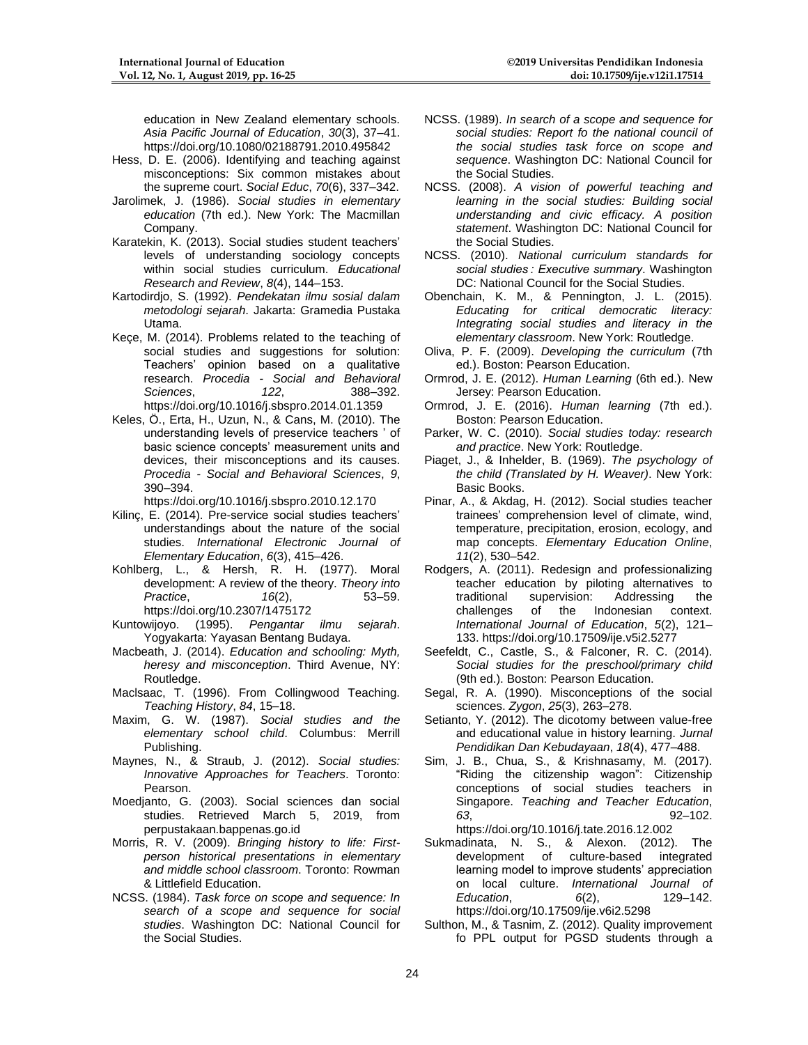**©2019 Universitas Pendidikan Indonesia doi: 10.17509/ije.v12i1.17514**

education in New Zealand elementary schools. *Asia Pacific Journal of Education*, *30*(3), 37–41. https://doi.org/10.1080/02188791.2010.495842

- Hess, D. E. (2006). Identifying and teaching against misconceptions: Six common mistakes about the supreme court. *Social Educ*, *70*(6), 337–342.
- Jarolimek, J. (1986). *Social studies in elementary education* (7th ed.). New York: The Macmillan Company.
- Karatekin, K. (2013). Social studies student teachers' levels of understanding sociology concepts within social studies curriculum. *Educational Research and Review*, *8*(4), 144–153.
- Kartodirdjo, S. (1992). *Pendekatan ilmu sosial dalam metodologi sejarah*. Jakarta: Gramedia Pustaka Utama.
- Keçe, M. (2014). Problems related to the teaching of social studies and suggestions for solution: Teachers' opinion based on a qualitative research. *Procedia - Social and Behavioral*   $Science$ <sub>5</sub>, https://doi.org/10.1016/j.sbspro.2014.01.1359
- Keles, Ö., Erta, H., Uzun, N., & Cans, M. (2010). The understanding levels of preservice teachers ' of basic science concepts' measurement units and devices, their misconceptions and its causes. *Procedia - Social and Behavioral Sciences*, *9*, 390–394.

https://doi.org/10.1016/j.sbspro.2010.12.170

- Kilinç, E. (2014). Pre-service social studies teachers' understandings about the nature of the social studies. *International Electronic Journal of Elementary Education*, *6*(3), 415–426.
- Kohlberg, L., & Hersh, R. H. (1977). Moral development: A review of the theory. *Theory into Practice*, *16*(2), https://doi.org/10.2307/1475172
- Kuntowijoyo. (1995). *Pengantar ilmu sejarah*. Yogyakarta: Yayasan Bentang Budaya.
- Macbeath, J. (2014). *Education and schooling: Myth, heresy and misconception*. Third Avenue, NY: Routledge.
- Maclsaac, T. (1996). From Collingwood Teaching. *Teaching History*, *84*, 15–18.
- Maxim, G. W. (1987). *Social studies and the elementary school child*. Columbus: Merrill Publishing.
- Maynes, N., & Straub, J. (2012). *Social studies: Innovative Approaches for Teachers*. Toronto: Pearson.
- Moedjanto, G. (2003). Social sciences dan social studies. Retrieved March 5, 2019, from perpustakaan.bappenas.go.id
- Morris, R. V. (2009). *Bringing history to life: Firstperson historical presentations in elementary and middle school classroom*. Toronto: Rowman & Littlefield Education.
- NCSS. (1984). *Task force on scope and sequence: In search of a scope and sequence for social studies*. Washington DC: National Council for the Social Studies.
- NCSS. (1989). *In search of a scope and sequence for social studies: Report fo the national council of the social studies task force on scope and sequence*. Washington DC: National Council for the Social Studies.
- NCSS. (2008). *A vision of powerful teaching and learning in the social studies: Building social understanding and civic efficacy. A position statement*. Washington DC: National Council for the Social Studies.
- NCSS. (2010). *National curriculum standards for social studies : Executive summary*. Washington DC: National Council for the Social Studies.
- Obenchain, K. M., & Pennington, J. L. (2015). *Educating for critical democratic literacy: Integrating social studies and literacy in the elementary classroom*. New York: Routledge.
- Oliva, P. F. (2009). *Developing the curriculum* (7th ed.). Boston: Pearson Education.
- Ormrod, J. E. (2012). *Human Learning* (6th ed.). New Jersey: Pearson Education.
- Ormrod, J. E. (2016). *Human learning* (7th ed.). Boston: Pearson Education.
- Parker, W. C. (2010). *Social studies today: research and practice*. New York: Routledge.
- Piaget, J., & Inhelder, B. (1969). *The psychology of the child (Translated by H. Weaver)*. New York: Basic Books.
- Pinar, A., & Akdag, H. (2012). Social studies teacher trainees' comprehension level of climate, wind, temperature, precipitation, erosion, ecology, and map concepts. *Elementary Education Online*, *11*(2), 530–542.
- Rodgers, A. (2011). Redesign and professionalizing teacher education by piloting alternatives to<br>traditional supervision: Addressing the traditional supervision: Addressing challenges of the Indonesian context. *International Journal of Education*, *5*(2), 121– 133. https://doi.org/10.17509/ije.v5i2.5277
- Seefeldt, C., Castle, S., & Falconer, R. C. (2014). *Social studies for the preschool/primary child* (9th ed.). Boston: Pearson Education.
- Segal, R. A. (1990). Misconceptions of the social sciences. *Zygon*, *25*(3), 263–278.
- Setianto, Y. (2012). The dicotomy between value-free and educational value in history learning. *Jurnal Pendidikan Dan Kebudayaan*, *18*(4), 477–488.
- Sim, J. B., Chua, S., & Krishnasamy, M. (2017). "Riding the citizenship wagon": Citizenship conceptions of social studies teachers in Singapore. *Teaching and Teacher Education*, *63*, 92–102. https://doi.org/10.1016/j.tate.2016.12.002
- Sukmadinata, N. S., & Alexon. (2012). The development of culture-based integrated learning model to improve students' appreciation on local culture. *International Journal of Education*, *6*(2), 129–142. https://doi.org/10.17509/ije.v6i2.5298
- Sulthon, M., & Tasnim, Z. (2012). Quality improvement fo PPL output for PGSD students through a